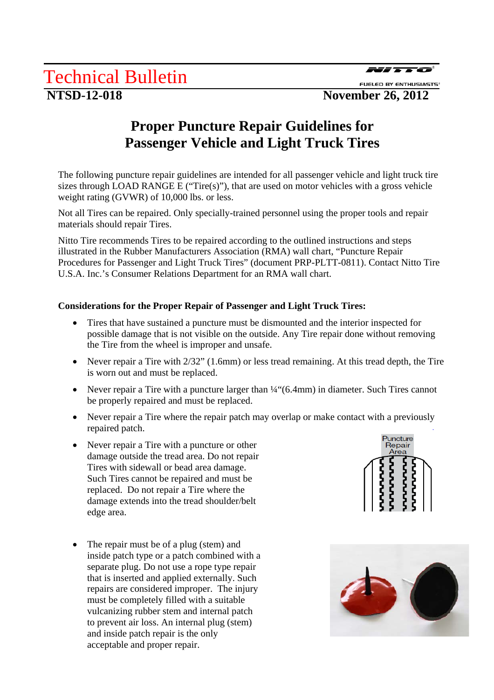## **Proper Puncture Repair Guidelines for Passenger Vehicle and Light Truck Tires**

The following puncture repair guidelines are intended for all passenger vehicle and light truck tire sizes through LOAD RANGE E ("Tire(s)"), that are used on motor vehicles with a gross vehicle weight rating (GVWR) of 10,000 lbs. or less.

Not all Tires can be repaired. Only specially-trained personnel using the proper tools and repair materials should repair Tires.

Nitto Tire recommends Tires to be repaired according to the outlined instructions and steps illustrated in the Rubber Manufacturers Association (RMA) wall chart, "Puncture Repair Procedures for Passenger and Light Truck Tires" (document PRP-PLTT-0811). Contact Nitto Tire U.S.A. Inc.'s Consumer Relations Department for an RMA wall chart.

### **Considerations for the Proper Repair of Passenger and Light Truck Tires:**

- Tires that have sustained a puncture must be dismounted and the interior inspected for possible damage that is not visible on the outside. Any Tire repair done without removing the Tire from the wheel is improper and unsafe.
- Never repair a Tire with  $2/32$ " (1.6mm) or less tread remaining. At this tread depth, the Tire is worn out and must be replaced.
- Never repair a Tire with a puncture larger than  $\frac{1}{4}$  (6.4mm) in diameter. Such Tires cannot be properly repaired and must be replaced.
- Never repair a Tire where the repair patch may overlap or make contact with a previously repaired patch.
- Never repair a Tire with a puncture or other damage outside the tread area. Do not repair Tires with sidewall or bead area damage. Such Tires cannot be repaired and must be replaced. Do not repair a Tire where the damage extends into the tread shoulder/belt edge area.
- The repair must be of a plug (stem) and inside patch type or a patch combined with a separate plug. Do not use a rope type repair that is inserted and applied externally. Such repairs are considered improper. The injury must be completely filled with a suitable vulcanizing rubber stem and internal patch to prevent air loss. An internal plug (stem) and inside patch repair is the only acceptable and proper repair.